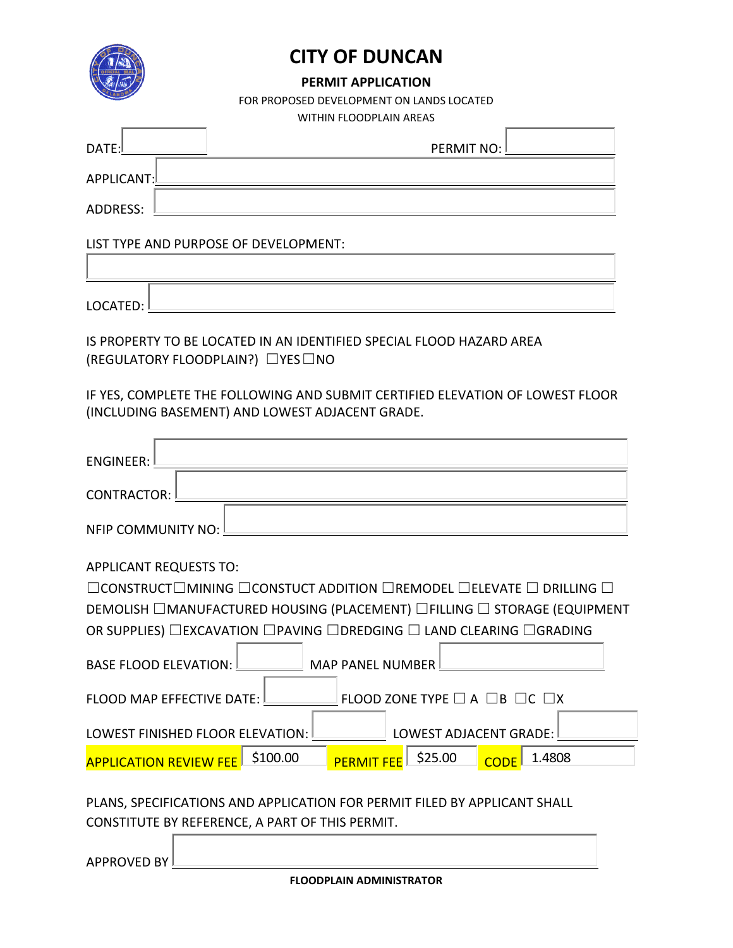

## **CITY OF DUNCAN**

#### **PERMIT APPLICATION**

FOR PROPOSED DEVELOPMENT ON LANDS LOCATED

WITHIN FLOODPLAIN AREAS

| DATE:       | PERMIT NO: |
|-------------|------------|
| APPLICANT:L |            |
| ADDRESS:    |            |

#### LIST TYPE AND PURPOSE OF DEVELOPMENT:

LOCATED:

IS PROPERTY TO BE LOCATED IN AN IDENTIFIED SPECIAL FLOOD HAZARD AREA (REGULATORY FLOODPLAIN?) ☐YES☐NO

IF YES, COMPLETE THE FOLLOWING AND SUBMIT CERTIFIED ELEVATION OF LOWEST FLOOR (INCLUDING BASEMENT) AND LOWEST ADJACENT GRADE.

| ENGINEER:                                                                                                                    |
|------------------------------------------------------------------------------------------------------------------------------|
| CONTRACTOR:                                                                                                                  |
| NFIP COMMUNITY NO:                                                                                                           |
| <b>APPLICANT REQUESTS TO:</b>                                                                                                |
| $\Box$ CONSTRUCT $\Box$ MINING $\Box$ CONSTUCT ADDITION $\Box$ REMODEL $\Box$ ELEVATE $\Box$ DRILLING $\Box$                 |
| DEMOLISH □MANUFACTURED HOUSING (PLACEMENT) □FILLING □ STORAGE (EQUIPMENT                                                     |
| OR SUPPLIES) □EXCAVATION □PAVING □DREDGING □ LAND CLEARING □GRADING                                                          |
| BASE FLOOD ELEVATION: MAP PANEL NUMBER                                                                                       |
| FLOOD MAP EFFECTIVE DATE: $\Box$ FLOOD ZONE TYPE $\Box$ A $\Box$ B $\Box$ C $\Box$ X                                         |
| LOWEST FINISHED FLOOR ELEVATION:<br>LOWEST ADJACENT GRADE: I                                                                 |
| \$25.00<br>\$100.00<br>1.4808<br><b>PERMIT FEE</b><br><b>APPLICATION REVIEW FEE</b><br><b>CODE</b>                           |
| PLANS, SPECIFICATIONS AND APPLICATION FOR PERMIT FILED BY APPLICANT SHALL<br>CONSTITUTE BY REFERENCE, A PART OF THIS PERMIT. |

APPROVED BY

**FLOODPLAIN ADMINISTRATOR**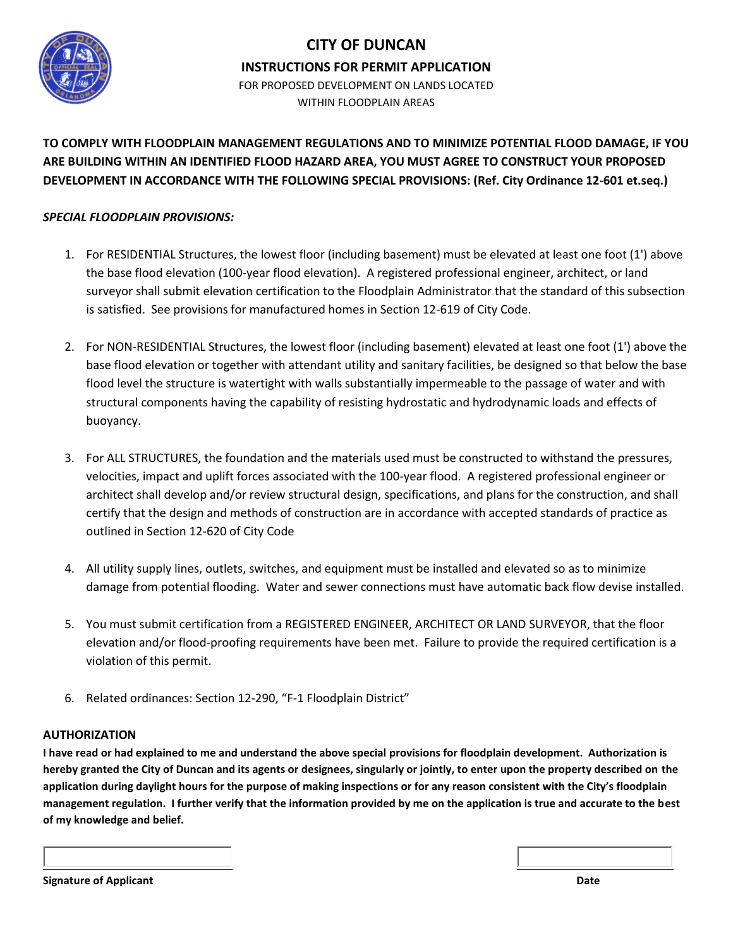

#### **CITY OF DUNCAN**

**INSTRUCTIONS FOR PERMIT APPLICATION**

FOR PROPOSED DEVELOPMENT ON LANDS LOCATED WITHIN FLOODPLAIN ARFAS

**TO COMPLY WITH FLOODPLAIN MANAGEMENT REGULATIONS AND TO MINIMIZE POTENTIAL FLOOD DAMAGE, IF YOU ARE BUILDING WITHIN AN IDENTIFIED FLOOD HAZARD AREA, YOU MUST AGREE TO CONSTRUCT YOUR PROPOSED DEVELOPMENT IN ACCORDANCE WITH THE FOLLOWING SPECIAL PROVISIONS: (Ref. City Ordinance 12-601 et.seq.)**

#### *SPECIAL FLOODPLAIN PROVISIONS:*

- 1. For RESIDENTIAL Structures, the lowest floor (including basement) must be elevated at least one foot (1') above the base flood elevation (100-year flood elevation). A registered professional engineer, architect, or land surveyor shall submit elevation certification to the Floodplain Administrator that the standard of this subsection is satisfied. See provisions for manufactured homes in Section 12-619 of City Code.
- 2. For NON-RESIDENTIAL Structures, the lowest floor (including basement) elevated at least one foot (1') above the base flood elevation or together with attendant utility and sanitary facilities, be designed so that below the base flood level the structure is watertight with walls substantially impermeable to the passage of water and with structural components having the capability of resisting hydrostatic and hydrodynamic loads and effects of buoyancy.
- 3. For ALL STRUCTURES, the foundation and the materials used must be constructed to withstand the pressures, velocities, impact and uplift forces associated with the 100-year flood. A registered professional engineer or architect shall develop and/or review structural design, specifications, and plans for the construction, and shall certify that the design and methods of construction are in accordance with accepted standards of practice as outlined in Section 12-620 of City Code
- 4. All utility supply lines, outlets, switches, and equipment must be installed and elevated so as to minimize damage from potential flooding. Water and sewer connections must have automatic back flow devise installed.
- 5. You must submit certification from a REGISTERED ENGINEER, ARCHITECT OR LAND SURVEYOR, that the floor elevation and/or flood-proofing requirements have been met. Failure to provide the required certification is a violation of this permit.
- 6. Related ordinances: Section 12-290, "F-1 Floodplain District"

#### **AUTHORIZATION**

**I have read or had explained to me and understand the above special provisions for floodplain development. Authorization is hereby granted the City of Duncan and its agents or designees, singularly or jointly, to enter upon the property described on the application during daylight hours for the purpose of making inspections or for any reason consistent with the City's floodplain management regulation. I further verify that the information provided by me on the application is true and accurate to the best of my knowledge and belief.**

**Signature of Applicant Date of Applicant Date of Applicant Date of Applicant Date of Applicant Date of Applicant**